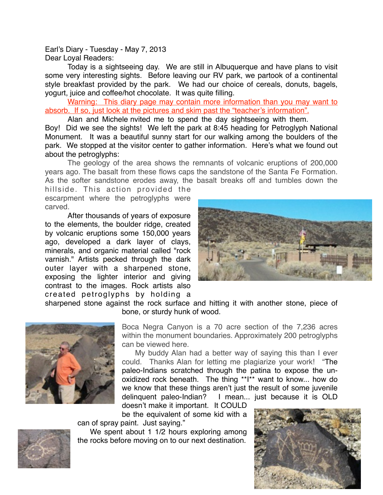Earl's Diary - Tuesday - May 7, 2013 Dear Loyal Readers:

Today is a sightseeing day. We are still in Albuquerque and have plans to visit some very interesting sights. Before leaving our RV park, we partook of a continental style breakfast provided by the park. We had our choice of cereals, donuts, bagels, yogurt, juice and coffee/hot chocolate. It was quite filling.

Warning: This diary page may contain more information than you may want to absorb. If so, just look at the pictures and skim past the "teacher's information".

Alan and Michele nvited me to spend the day sightseeing with them.

Boy! Did we see the sights! We left the park at 8:45 heading for Petroglyph National Monument. It was a beautiful sunny start for our walking among the boulders of the park. We stopped at the visitor center to gather information. Here's what we found out about the petroglyphs:

The geology of the area shows the remnants of volcanic eruptions of 200,000 years ago. The basalt from these flows caps the sandstone of the Santa Fe Formation. As the softer sandstone erodes away, the basalt breaks off and tumbles down the

hillside. This action provided the escarpment where the petroglyphs were carved.

After thousands of years of exposure to the elements, the boulder ridge, created by volcanic eruptions some 150,000 years ago, developed a dark layer of clays, minerals, and organic material called "rock varnish." Artists pecked through the dark outer layer with a sharpened stone, exposing the lighter interior and giving contrast to the images. Rock artists also created petroglyphs by holding a



sharpened stone against the rock surface and hitting it with another stone, piece of bone, or sturdy hunk of wood.



Boca Negra Canyon is a 70 acre section of the 7,236 acres within the monument boundaries. Approximately 200 petroglyphs can be viewed here.

My buddy Alan had a better way of saying this than I ever could. Thanks Alan for letting me plagiarize your work! "The paleo-Indians scratched through the patina to expose the unoxidized rock beneath. The thing \*\*I\*\* want to know... how do we know that these things aren't just the result of some juvenile delinquent paleo-Indian? I mean... just because it is OLD

doesn't make it important. It COULD be the equivalent of some kid with a



can of spray paint. Just saying."

We spent about 1 1/2 hours exploring among the rocks before moving on to our next destination.

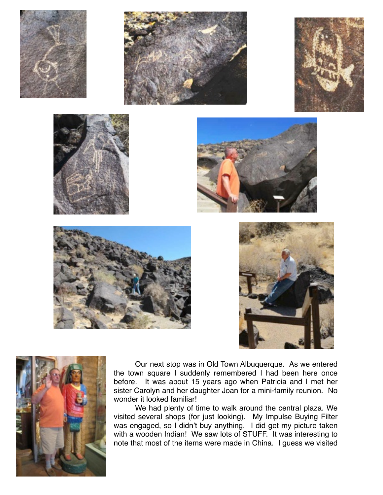















Our next stop was in Old Town Albuquerque. As we entered the town square I suddenly remembered I had been here once before. It was about 15 years ago when Patricia and I met her sister Carolyn and her daughter Joan for a mini-family reunion. No wonder it looked familiar!

We had plenty of time to walk around the central plaza. We visited several shops (for just looking). My Impulse Buying Filter was engaged, so I didn't buy anything. I did get my picture taken with a wooden Indian! We saw lots of STUFF. It was interesting to note that most of the items were made in China. I guess we visited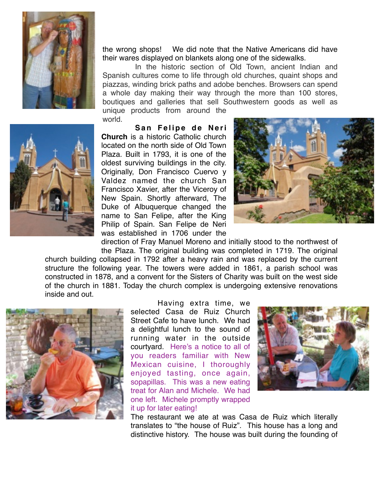

the wrong shops! We did note that the Native Americans did have their wares displayed on blankets along one of the sidewalks.

In the historic section of Old Town, ancient Indian and Spanish cultures come to life through old churches, quaint shops and piazzas, winding brick paths and adobe benches. Browsers can spend a whole day making their way through the more than 100 stores, boutiques and galleries that sell Southwestern goods as well as unique products from around the

world.

**San Felipe de Neri Church** is a historic Catholic church located on the north side of Old Town Plaza. Built in 1793, it is one of the oldest surviving buildings in the city. Originally, Don Francisco Cuervo y Valdez named the church San Francisco Xavier, after the Viceroy of New Spain. Shortly afterward, The Duke of Albuquerque changed the name to San Felipe, after the King Philip of Spain. San Felipe de Neri was established in 1706 under the



direction of Fray Manuel Moreno and initially stood to the northwest of the Plaza. The original building was completed in 1719. The original

church building collapsed in 1792 after a heavy rain and was replaced by the current structure the following year. The towers were added in 1861, a parish school was constructed in 1878, and a convent for the Sisters of Charity was built on the west side of the church in 1881. Today the church complex is undergoing extensive renovations inside and out.



Having extra time, we selected Casa de Ruiz Church Street Cafe to have lunch. We had a delightful lunch to the sound of running water in the outside courtyard. Here's a notice to all of you readers familiar with New Mexican cuisine, I thoroughly enjoyed tasting, once again, sopapillas. This was a new eating treat for Alan and Michele. We had one left. Michele promptly wrapped it up for later eating!



The restaurant we ate at was Casa de Ruiz which literally translates to "the house of Ruiz". This house has a long and distinctive history. The house was built during the founding of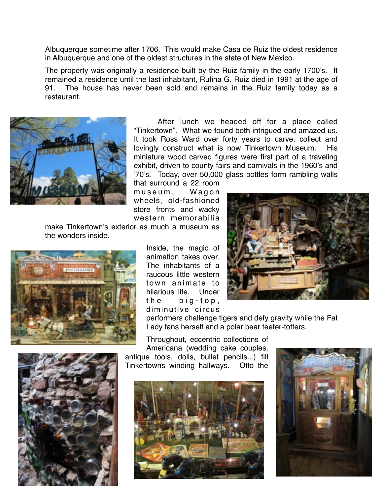Albuquerque sometime after 1706. This would make Casa de Ruiz the oldest residence in Albuquerque and one of the oldest structures in the state of New Mexico.

The property was originally a residence built by the Ruiz family in the early 1700's. It remained a residence until the last inhabitant, Rufina G. Ruiz died in 1991 at the age of 91. The house has never been sold and remains in the Ruiz family today as a restaurant.



After lunch we headed off for a place called "Tinkertown". What we found both intrigued and amazed us. It took Ross Ward over forty years to carve, collect and lovingly construct what is now Tinkertown Museum. His miniature wood carved figures were first part of a traveling exhibit, driven to county fairs and carnivals in the 1960's and '70's. Today, over 50,000 glass bottles form rambling walls

that surround a 22 room museum. Wagon wheels, old-fashioned store fronts and wacky western memorabilia

make Tinkertown's exterior as much a museum as the wonders inside.



Inside, the magic of animation takes over. The inhabitants of a raucous little western town animate to hilarious life. Under the big-top, diminutive circus



performers challenge tigers and defy gravity while the Fat Lady fans herself and a polar bear teeter-totters.

Throughout, eccentric collections of Americana (wedding cake couples, antique tools, dolls, bullet pencils...) fill

Tinkertowns winding hallways. Otto the





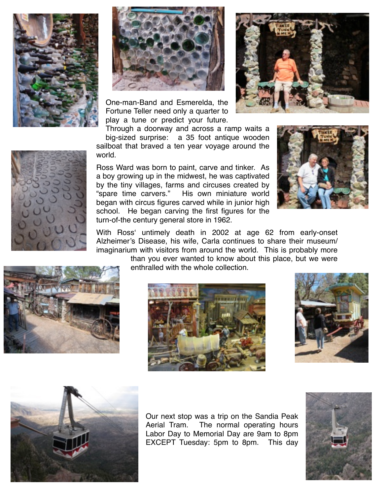



One-man-Band and Esmerelda, the Fortune Teller need only a quarter to play a tune or predict your future.





Through a doorway and across a ramp waits a big-sized surprise: a 35 foot antique wooden sailboat that braved a ten year voyage around the world.

Ross Ward was born to paint, carve and tinker. As a boy growing up in the midwest, he was captivated by the tiny villages, farms and circuses created by "spare time carvers." His own miniature world began with circus figures carved while in junior high school. He began carving the first figures for the turn-of-the century general store in 1962.



With Ross' untimely death in 2002 at age 62 from early-onset Alzheimer's Disease, his wife, Carla continues to share their museum/ imaginarium with visitors from around the world. This is probably more

than you ever wanted to know about this place, but we were enthralled with the whole collection.







Our next stop was a trip on the Sandia Peak Aerial Tram. The normal operating hours Labor Day to Memorial Day are 9am to 8pm EXCEPT Tuesday: 5pm to 8pm. This day

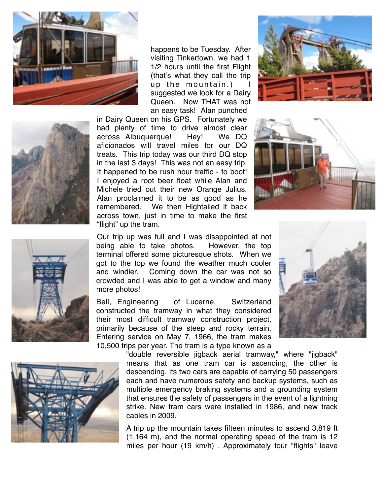





happens to be Tuesday. After visiting Tinkertown, we had 1 1/2 hours until the first Flight (that's what they call the trip up the mountain.) suggested we look for a Dairy Queen. Now THAT was not an easy task! Alan punched

in Dairy Queen on his GPS. Fortunately we had plenty of time to drive almost clear across Albuquerque! Hey! We DQ aficionados will travel miles for our DQ treats. This trip today was our third DQ stop in the last 3 days! This was not an easy trip. It happened to be rush hour traffic - to boot! I enjoyed a root beer float while Alan and Michele tried out their new Orange Julius. Alan proclaimed it to be as good as he remembered. We then Hightailed it back across town, just in time to make the first "flight" up the tram.





Our trip up was full and I was disappointed at not being able to take photos. However, the top terminal offered some picturesque shots. When we got to the top we found the weather much cooler and windier. Coming down the car was not so crowded and I was able to get a window and many more photos!

Bell, Engineering of Lucerne, Switzerland constructed the tramway in what they considered their most difficult tramway construction project, primarily because of the steep and rocky terrain. Entering service on May 7, 1966, the tram makes 10,500 trips per year. The tram is a type known as a

> "double reversible jigback aerial tramway," where "jigback" means that as one tram car is ascending, the other is descending. Its two cars are capable of carrying 50 passengers each and have numerous safety and backup systems, such as multiple emergency braking systems and a grounding system that ensures the safety of passengers in the event of a lightning strike. New tram cars were installed in 1986, and new track cables in 2009.

> A trip up the mountain takes fifteen minutes to ascend 3,819 ft (1,164 m), and the normal operating speed of the tram is 12 miles per hour (19 km/h) . Approximately four "flights" leave